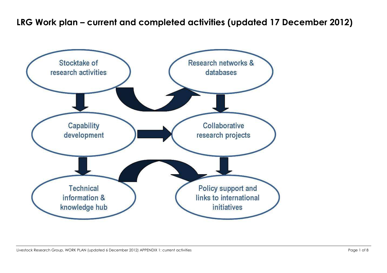## **LRG Work plan – current and completed activities (updated 17 December 2012)**

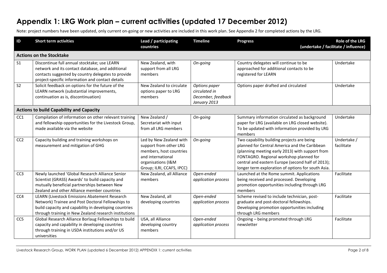## **Appendix 1: LRG Work plan – current activities (updated 17 December 2012)**

Note: project numbers have been updated, only current on-going or new activities are included in this work plan. See Appendix 2 for completed actions by the LRG.

| $\overline{D}$  | <b>Short term activities</b>                                                                                                                                                                                                | Lead / participating<br>countries                                                                                                                    | <b>Timeline</b>                                                      | <b>Progress</b>                                                                                                                                                                                                                                                                                      | <b>Role of the LRG</b><br>(undertake / facilitate / influence) |
|-----------------|-----------------------------------------------------------------------------------------------------------------------------------------------------------------------------------------------------------------------------|------------------------------------------------------------------------------------------------------------------------------------------------------|----------------------------------------------------------------------|------------------------------------------------------------------------------------------------------------------------------------------------------------------------------------------------------------------------------------------------------------------------------------------------------|----------------------------------------------------------------|
|                 | <b>Actions on the Stocktake</b>                                                                                                                                                                                             |                                                                                                                                                      |                                                                      |                                                                                                                                                                                                                                                                                                      |                                                                |
| S <sub>1</sub>  | Discontinue full annual stocktake; use LEARN<br>network and its contact database, and additional<br>contacts suggested by country delegates to provide<br>project-specific information and contact details                  | New Zealand, with<br>support from all LRG<br>members                                                                                                 | On-going                                                             | Country delegates will continue to be<br>approached for additional contacts to be<br>registered for LEARN                                                                                                                                                                                            | Undertake                                                      |
| S <sub>2</sub>  | Solicit feedback on options for the future of the<br>LEARN network (substantial improvements,<br>continuation as is, discontinuation)                                                                                       | New Zealand to circulate<br>options paper to LRG<br>members                                                                                          | Options paper<br>circulated in<br>December, feedback<br>January 2013 | Options paper drafted and circulated                                                                                                                                                                                                                                                                 | Undertake                                                      |
|                 | <b>Actions to build Capability and Capacity</b>                                                                                                                                                                             |                                                                                                                                                      |                                                                      |                                                                                                                                                                                                                                                                                                      |                                                                |
| CC1             | Compilation of information on other relevant training<br>and fellowship opportunities for the Livestock Group,<br>made available via the website                                                                            | New Zealand /<br>Secretariat with input<br>from all LRG members                                                                                      | On-going                                                             | Summary information circulated as background<br>paper for LRG (available on LRG closed website).<br>To be updated with information provided by LRG<br>members                                                                                                                                        | Undertake                                                      |
| CC <sub>2</sub> | Capacity building and training workshops on<br>measurement and mitigation of GHG                                                                                                                                            | Led by New Zealand with<br>support from other LRG<br>members, host countries<br>and international<br>organisations (I&M<br>Group; ILRI, CCAFS, IPCC) | On-going                                                             | Two capability building projects are being<br>planned for Central America and the Caribbean<br>(planning meeting early 2013) with support from<br>FONTAGRO. Regional workshop planned for<br>central and eastern Europe (second half of 2013);<br>longer term exploration of options for south Asia. | Undertake /<br>facilitate                                      |
| CC <sub>3</sub> | Newly launched 'Global Research Alliance Senior<br>Scientist (GRASS) Awards' to build capacity and<br>mutually beneficial partnerships between New<br>Zealand and other Alliance member countries                           | New Zealand, all Alliance<br>members                                                                                                                 | Open-ended<br>application process                                    | Launched at the Rome summit. Applications<br>being received and processed. Developing<br>promotion opportunities including through LRG<br>members                                                                                                                                                    | Facilitate                                                     |
| CC4             | <b>LEARN (Livestock Emissions Abatement Research</b><br>Network) Trainee and Post Doctoral Fellowships to<br>build capacity and capability in developing countries<br>through training in New Zealand research institutions | New Zealand, all<br>developing countries                                                                                                             | Open-ended<br>application process                                    | Scheme revised to include technician, post-<br>graduate and post-doctoral fellowships.<br>Developing promotion opportunities including<br>through LRG members                                                                                                                                        | Facilitate                                                     |
| CC <sub>5</sub> | Global Research Alliance Borlaug Fellowships to build<br>capacity and capability in developing countries<br>through training in USDA institutions and/or US<br>universities                                                 | USA, all Alliance<br>developing country<br>members                                                                                                   | Open-ended<br>application process                                    | Ongoing - being promoted through LRG<br>newsletter                                                                                                                                                                                                                                                   | Facilitate                                                     |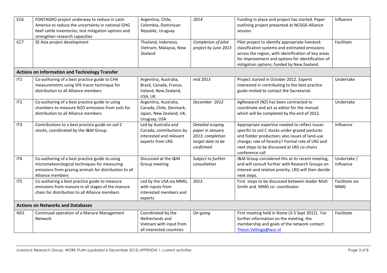| CC <sub>6</sub>                          | FONTAGRO project underway to reduce in Latin<br>America to reduce the uncertainty in national GHG<br>beef cattle inventories, test mitigation options and<br>strengthen research capacities | Argentina, Chile,<br>Colombia, Dominican<br>Republic, Uruguay                                   | 2014                                                                                       | Funding in place and project has started. Paper<br>outlining project presented at NCGG6 Alliance<br>session.                                                                                                                                                              | Influence                    |
|------------------------------------------|---------------------------------------------------------------------------------------------------------------------------------------------------------------------------------------------|-------------------------------------------------------------------------------------------------|--------------------------------------------------------------------------------------------|---------------------------------------------------------------------------------------------------------------------------------------------------------------------------------------------------------------------------------------------------------------------------|------------------------------|
| CC7                                      | SE Asia project development                                                                                                                                                                 | Thailand, Indonesia,<br>Vietnam, Malaysia, New<br>Zealand                                       | Completion of pilot<br>project by June 2013                                                | Pilot project to identify appropriate livestock<br>classification systems and estimated emissions<br>across the region, with identification of key areas<br>for improvement and options for identification of<br>mitigation options; funded by New Zealand.               | Facilitate                   |
|                                          | <b>Actions on Information and Technology Transfer</b>                                                                                                                                       |                                                                                                 |                                                                                            |                                                                                                                                                                                                                                                                           |                              |
| IT1                                      | Co-authoring of a best practice guide to CH4<br>measurements using SF6 tracer technique for<br>distribution to all Alliance members                                                         | Argentina, Australia,<br>Brazil, Canada, France,<br>Ireland, New Zealand,<br>USA, UK            | mid 2013                                                                                   | Project started in October 2012. Experts<br>interested in contributing to the best practice<br>guide invited to contact the Secretariat.                                                                                                                                  | Undertake                    |
| IT <sub>2</sub>                          | Co-authoring of a best practice guide to using<br>chambers to measure N2O emissions from soils for<br>distribution to all Alliance members                                                  | Argentina, Australia,<br>Canada, Chile, Denmark,<br>Japan, New Zealand, UK,<br>Uruguay, USA     | December 2012                                                                              | AgResearch (NZ) has been contracted to<br>coordinate and act as editor for the manual<br>which will be completed by the end of 2012.                                                                                                                                      | Undertake                    |
| IT3                                      | Contributions to a best practice guide on soil C<br>stocks, coordinated by the I&M Group                                                                                                    | Led by Australia and<br>Canada; contributions by<br>interested and relevant<br>experts from LRG | Detailed scoping<br>paper in January<br>2013; completion<br>target date to be<br>confirmed | Appropriate expertise needed to reflect issues<br>specific to soil C stocks under grazed pastures<br>and fodder production; also issues of land-use<br>change; role of forestry? Formal role of LRG and<br>next steps to be discussed at LRG co-chairs<br>conference call | Influence                    |
| IT4                                      | Co-authoring of a best practice guide to using<br>micrometeorological techniques for measuring<br>emissions from grazing animals for distribution to all<br>Alliance members                | Discussed at the I&M<br>Group meeting                                                           | Subject to further<br>consultation                                                         | I&M Group considered this at its recent meeting,<br>and will consult further with Research Groups on<br>interest and relative priority. LRG will then decide<br>next steps.                                                                                               | Undertake /<br>Influence     |
| IT5                                      | Co-authoring a best practice guide to measure<br>emissions from manure in all stages of the manure<br>chain for distribution to all Alliance members                                        | Led by the USA via MMG,<br>with inputs from<br>interested members and<br>experts                | 2013                                                                                       | First steps to be discussed between leader Matt<br>Smith and MMG co-coordinator                                                                                                                                                                                           | Facilitate via<br><b>MMG</b> |
| <b>Actions on Networks and Databases</b> |                                                                                                                                                                                             |                                                                                                 |                                                                                            |                                                                                                                                                                                                                                                                           |                              |
| ND1                                      | Continued operation of a Manure Management<br>Network                                                                                                                                       | Coordinated by the<br>Netherlands and<br>Vietnam with input from<br>all interested countries    | On-going                                                                                   | First meeting held in Rome (3-5 Sept 2012). For<br>further information on the meeting, the<br>membership and goals of the network contact:<br>Theun.Vellinga@wur.nl                                                                                                       | Facilitate                   |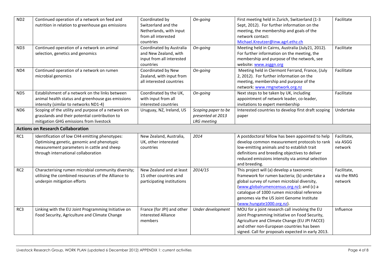| ND <sub>2</sub> | Continued operation of a network on feed and        | Coordinated by             | On-going            | First meeting held in Zurich, Switzerland (1-3                                                  | Facilitate  |
|-----------------|-----------------------------------------------------|----------------------------|---------------------|-------------------------------------------------------------------------------------------------|-------------|
|                 | nutrition in relation to greenhouse gas emissions   | Switzerland and the        |                     | Sept, 2012). For further information on the                                                     |             |
|                 |                                                     | Netherlands, with input    |                     | meeting, the membership and goals of the                                                        |             |
|                 |                                                     | from all interested        |                     | network contact:                                                                                |             |
|                 |                                                     | countries                  |                     | Michael.Kreutzer@inw.agrl.ethz.ch                                                               |             |
| ND3             | Continued operation of a network on animal          | Coordinated by Australia   | On-going            | Meeting held in Cairns, Australia (July21, 2012).                                               | Facilitate  |
|                 | selection, genetics and genomics                    | and New Zealand, with      |                     | For further information on the meeting, the                                                     |             |
|                 |                                                     | input from all interested  |                     | membership and purpose of the network, see                                                      |             |
|                 |                                                     | countries                  |                     | website: www.asggn.org                                                                          |             |
| ND4             | Continued operation of a network on rumen           | Coordinated by New         | On-going            | Meeting held in Clermont Ferrand, France, (July                                                 | Facilitate  |
|                 | microbial genomics                                  | Zealand, with input from   |                     | 2, 2012). For further information on the                                                        |             |
|                 |                                                     | all interested countries   |                     | meeting, membership and purpose of the                                                          |             |
|                 |                                                     |                            |                     | network: www.rmgnetwork.org.nz                                                                  |             |
| ND <sub>5</sub> | Establishment of a network on the links between     | Coordinated by the UK,     | On-going            | Next steps to be taken by UK, including                                                         | Facilitate  |
|                 | animal health status and greenhouse gas emissions   | with input from all        |                     | appointment of network leader, co-leader,                                                       |             |
|                 | intensity (similar to networks ND1-4)               | interested countries       |                     | invitations to expert membership                                                                |             |
| ND <sub>6</sub> | Scoping of the utility and purpose of a network on  | Uruguay, NZ, Ireland, US   | Scoping paper to be | Interested countries to develop first draft scoping                                             | Undertake   |
|                 | grasslands and their potential contribution to      |                            | presented at 2013   | paper                                                                                           |             |
|                 | mitigation GHG emissions from livestock             |                            | <b>LRG</b> meeting  |                                                                                                 |             |
|                 | <b>Actions on Research Collaboration</b>            |                            |                     |                                                                                                 |             |
| RC1             | Identification of low CH4 emitting phenotypes:      | New Zealand, Australia,    | 2014                | A postdoctoral fellow has been appointed to help                                                | Facilitate, |
|                 | Optimising genetic, genomic and phenotypic          | UK, other interested       |                     | develop common measurement protocols to rank                                                    | via ASGG    |
|                 | measurement parameters in cattle and sheep          | countries                  |                     | low-emitting animals and to establish trait                                                     | network     |
|                 | through international collaboration                 |                            |                     | definitions and breeding objectives to deliver                                                  |             |
|                 |                                                     |                            |                     | reduced emissions intensity via animal selection                                                |             |
|                 |                                                     |                            |                     | and breeding.                                                                                   |             |
| RC <sub>2</sub> | Characterising rumen microbial community diversity; | New Zealand and at least   | 2014/15             | This project will (a) develop a taxonomic                                                       | Facilitate, |
|                 | utilising the combined resources of the Alliance to | 15 other countries and     |                     | framework for rumen bacteria; (b) undertake a                                                   | via the RMG |
|                 | underpin mitigation efforts                         | participating institutions |                     | global survey of rumen microbial diversity,                                                     | network     |
|                 |                                                     |                            |                     | (www.globalrumencensus.org.nz); and (c) a                                                       |             |
|                 |                                                     |                            |                     | catalogue of 1000 rumen microbial reference                                                     |             |
|                 |                                                     |                            |                     | genomes via the US Joint Genome Institute                                                       |             |
|                 |                                                     |                            |                     | (www.hungate1000.org.nz).                                                                       |             |
| RC3             | Linking with the EU Joint Programming Initiative on | France (for JPI) and other | Under development   | MOU for a joint research call involving the EU                                                  | Influence   |
|                 | Food Security, Agriculture and Climate Change       | interested Alliance        |                     | Joint Programming Initiative on Food Security,                                                  |             |
|                 |                                                     | members                    |                     | Agriculture and Climate Change (EU JPI FACCE)                                                   |             |
|                 |                                                     |                            |                     |                                                                                                 |             |
|                 |                                                     |                            |                     | and other non-European countries has been<br>signed. Call for proposals expected in early 2013. |             |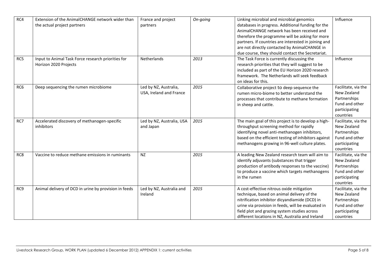| RC4 | Extension of the AnimalCHANGE network wider than      | France and project        | On-going | Linking microbial and microbial genomics             | Influence           |
|-----|-------------------------------------------------------|---------------------------|----------|------------------------------------------------------|---------------------|
|     | the actual project partners                           | partners                  |          | databases in progress. Additional funding for the    |                     |
|     |                                                       |                           |          | AnimalCHANGE network has been received and           |                     |
|     |                                                       |                           |          | therefore the programme will be asking for more      |                     |
|     |                                                       |                           |          | partners. If countries are interested in joining and |                     |
|     |                                                       |                           |          | are not directly contacted by AnimalCHANGE in        |                     |
|     |                                                       |                           |          | due course, they should contact the Secretariat.     |                     |
| RC5 | Input to Animal Task Force research priorities for    | Netherlands               | 2013     | The Task Force is currently discussing the           | Influence           |
|     | Horizon 2020 Projects                                 |                           |          | research priorities that they will suggest to be     |                     |
|     |                                                       |                           |          | included as part of the EU Horizon 2020 research     |                     |
|     |                                                       |                           |          | framework. The Netherlands will seek feedback        |                     |
|     |                                                       |                           |          | on ideas for this.                                   |                     |
| RC6 | Deep sequencing the rumen microbiome                  | Led by NZ, Australia,     | 2015     | Collaborative project to deep sequence the           | Facilitate, via the |
|     |                                                       | USA, Ireland and France   |          | rumen micro-biome to better understand the           | New Zealand         |
|     |                                                       |                           |          | processes that contribute to methane formation       | Partnerships        |
|     |                                                       |                           |          | in sheep and cattle.                                 | Fund and other      |
|     |                                                       |                           |          |                                                      | participating       |
|     |                                                       |                           |          |                                                      | countries           |
| RC7 | Accelerated discovery of methanogen-specific          | Led by NZ, Australia, USA | 2015     | The main goal of this project is to develop a high-  | Facilitate, via the |
|     | inhibitors                                            | and Japan                 |          | throughput screening method for rapidly              | New Zealand         |
|     |                                                       |                           |          | identifying novel anti-methanogen inhibitors,        | Partnerships        |
|     |                                                       |                           |          | based on the efficient testing of inhibitors against | Fund and other      |
|     |                                                       |                           |          | methanogens growing in 96-well culture plates.       | participating       |
|     |                                                       |                           |          |                                                      | countries           |
| RC8 | Vaccine to reduce methane emissions in ruminants      | NZ                        | 2015     | A leading New Zealand research team will aim to      | Facilitate, via the |
|     |                                                       |                           |          | identify adjuvants (substances that trigger          | New Zealand         |
|     |                                                       |                           |          | production of antibody responses to the vaccine)     | Partnerships        |
|     |                                                       |                           |          | to produce a vaccine which targets methanogens       | Fund and other      |
|     |                                                       |                           |          | in the rumen                                         | participating       |
|     |                                                       |                           |          |                                                      | countries           |
| RC9 | Animal delivery of DCD in urine by provision in feeds | Led by NZ, Australia and  | 2015     | A cost-effective nitrous oxide mitigation            | Facilitate, via the |
|     |                                                       | Ireland                   |          | technique, based on animal delivery of the           | New Zealand         |
|     |                                                       |                           |          | nitrification inhibitor dicyandiamide (DCD) in       | Partnerships        |
|     |                                                       |                           |          | urine via provision in feeds, will be evaluated in   | Fund and other      |
|     |                                                       |                           |          | field plot and grazing system studies across         | participating       |
|     |                                                       |                           |          | different locations in NZ, Australia and Ireland     | countries           |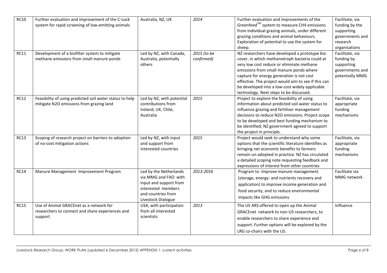| <b>RC10</b> | Further evaluation and improvement of the C-Lock<br>system for rapid screening of low-emitting animals | Australia, NZ, UK                                                                                                                          | 2014                      | Further evaluation and improvements of the<br>Greenfeed™ system to measure CH4 emissions<br>from individual grazing animals, under different<br>grazing conditions and animal behaviours.<br>Exploration of potential to use the system for<br>sheep.                                                                                                                                    | Facilitate, via<br>funding by the<br>supporting<br>governments and<br>research<br>organisations |
|-------------|--------------------------------------------------------------------------------------------------------|--------------------------------------------------------------------------------------------------------------------------------------------|---------------------------|------------------------------------------------------------------------------------------------------------------------------------------------------------------------------------------------------------------------------------------------------------------------------------------------------------------------------------------------------------------------------------------|-------------------------------------------------------------------------------------------------|
| <b>RC11</b> | Development of a biofilter system to mitigate<br>methane emissions from small manure ponds             | Led by NZ, with Canada,<br>Australia, potentially<br>others                                                                                | 2015 (to be<br>confirmed) | NZ researchers have developed a prototype bio<br>cover, in which methanotroph bacteria could at<br>very low cost reduce or eliminate methane<br>emissions from small manure ponds where<br>capture for energy generation is not cost<br>effective. The project would aim to see if this can<br>be developed into a low-cost widely applicable<br>technology. Next steps to be discussed. | Facilitate, via<br>funding by<br>supporting<br>governments and<br>potentially MMG               |
| <b>RC12</b> | Feasibility of using predicted soil water status to help<br>mitigate N2O emissions from grazing land   | Led by NZ, with potential<br>contributions from<br>Ireland, UK, Chile,<br>Australia                                                        | 2015                      | Project to explore the feasibility of using<br>information about predicted soil water status to<br>influence grazing and fertiliser management<br>decisions to reduce N2O emissions. Project scope<br>to be developed and best funding mechanism to<br>be identified; NZ government agreed to support<br>the project in principle.                                                       | Facilitate, via<br>appropriate<br>funding<br>mechanisms                                         |
| <b>RC13</b> | Scoping of research project on barriers to adoption<br>of no-cost mitigation actions                   | Led by NZ, with input<br>and support from<br>interested countries                                                                          | 2015                      | Project would seek to understand why some<br>options that the scientific literature identifies as<br>bringing net economic benefits to farmers<br>remain un-adopted in practice. NZ has circulated<br>a detailed scoping note requesting feedback and<br>expressions of interest from other countries                                                                                    | Facilitate, via<br>appropriate<br>funding<br>mechanisms                                         |
| <b>RC14</b> | Manure Management Improvement Program                                                                  | Led by the Netherlands<br>via MMG and FAO with<br>input and support from<br>interested members<br>and countries from<br>Livestock Dialogue | 2013-2016                 | Program to Improve manure management<br>(storage, energy- and nutrients recovery and<br>application) to improve income generation and<br>food security, and to reduce environmental<br>impacts like GHG emissions                                                                                                                                                                        | Facilitate via<br>MMG network                                                                   |
| <b>RC15</b> | Use of Animal GRACEnet as a network for<br>researchers to connect and share experiences and<br>support | USA, with participation<br>from all interested<br>scientists                                                                               | 2013                      | The US ARS offered to open up the Animal<br>GRACEnet network to non-US researchers, to<br>enable researchers to share experience and<br>support. Further options will be explored by the<br>LRG co-chairs with the US.                                                                                                                                                                   | Influence                                                                                       |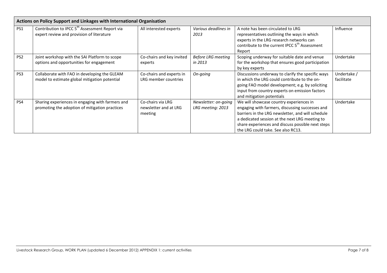| Actions on Policy Support and Linkages with International Organisation |                                                                                                         |                                                       |                                           |                                                                                                                                                                                                                                                                                              |                           |  |
|------------------------------------------------------------------------|---------------------------------------------------------------------------------------------------------|-------------------------------------------------------|-------------------------------------------|----------------------------------------------------------------------------------------------------------------------------------------------------------------------------------------------------------------------------------------------------------------------------------------------|---------------------------|--|
| PS <sub>1</sub>                                                        | Contribution to IPCC 5 <sup>th</sup> Assessment Report via<br>expert review and provision of literature | All interested experts                                | Various deadlines in<br>2013              | A note has been circulated to LRG<br>representatives outlining the ways in which<br>experts in the LRG research networks can<br>contribute to the current IPCC 5 <sup>th</sup> Assessment<br>Report                                                                                          | Influence                 |  |
| PS <sub>2</sub>                                                        | Joint workshop with the SAI Platform to scope<br>options and opportunities for engagement               | Co-chairs and key invited<br>experts                  | <b>Before LRG meeting</b><br>in 2013      | Scoping underway for suitable date and venue<br>for the workshop that ensures good participation<br>by key experts                                                                                                                                                                           | Undertake                 |  |
| PS3                                                                    | Collaborate with FAO in developing the GLEAM<br>model to estimate global mitigation potential           | Co-chairs and experts in<br>LRG member countries      | On-going                                  | Discussions underway to clarify the specific ways<br>in which the LRG could contribute to the on-<br>going FAO model development; e.g. by soliciting<br>input from country experts on emission factors<br>and mitigation potentials                                                          | Undertake /<br>facilitate |  |
| PS4                                                                    | Sharing experiences in engaging with farmers and<br>promoting the adoption of mitigation practices      | Co-chairs via LRG<br>newsletter and at LRG<br>meeting | Newsletter: on-going<br>LRG meeting: 2013 | We will showcase country experiences in<br>engaging with farmers, discussing successes and<br>barriers in the LRG newsletter, and will schedule<br>a dedicated session at the next LRG meeting to<br>share experiences and discuss possible next steps<br>the LRG could take. See also RC13. | Undertake                 |  |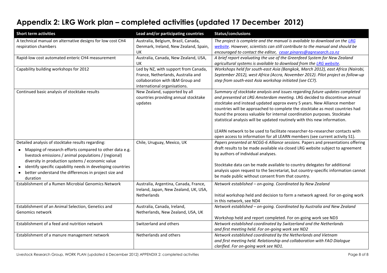## **Appendix 2: LRG Work plan – completed activities (updated 17 December 2012)**

| <b>Short term activities</b>                                                                                                                                                                                                                                                                                                                                              | Lead and/or participating countries                                                                                                            | Status/conclusions                                                                                                                                                                                                                                                                                                                                                                                                                                                                                                                                                                                                                           |
|---------------------------------------------------------------------------------------------------------------------------------------------------------------------------------------------------------------------------------------------------------------------------------------------------------------------------------------------------------------------------|------------------------------------------------------------------------------------------------------------------------------------------------|----------------------------------------------------------------------------------------------------------------------------------------------------------------------------------------------------------------------------------------------------------------------------------------------------------------------------------------------------------------------------------------------------------------------------------------------------------------------------------------------------------------------------------------------------------------------------------------------------------------------------------------------|
| A technical manual on alternative designs for low cost CH4<br>respiration chambers                                                                                                                                                                                                                                                                                        | Australia, Belgium, Brazil, Canada,<br>Denmark, Ireland, New Zealand, Spain,<br>UK                                                             | The project is complete and the manual is available to download on the LRG<br>website. However, scientists can still contribute to the manual and should be<br>encouraged to contact the editor, cesar.pinares@agresearch.co.nz                                                                                                                                                                                                                                                                                                                                                                                                              |
| Rapid-low cost automated enteric CH4 measurement                                                                                                                                                                                                                                                                                                                          | Australia, Canada, New Zealand, USA,<br>UK                                                                                                     | A brief report evaluating the use of the Greenfeed System for New Zealand<br>agricultural systems is available to download from the LRG website.                                                                                                                                                                                                                                                                                                                                                                                                                                                                                             |
| Capability building workshops for 2012                                                                                                                                                                                                                                                                                                                                    | Led by NZ, with support from Canada,<br>France, Netherlands, Australia and<br>collaboration with I&M Group and<br>international organisations. | Workshops held for south-east Asia (Bangkok, March 2012), east Africa (Nairobi,<br>September 2012), west Africa (Accra, November 2012). Pilot project as follow-up<br>step from south-east Asia workshop initiated (see CC7).                                                                                                                                                                                                                                                                                                                                                                                                                |
| Continued basic analysis of stocktake results                                                                                                                                                                                                                                                                                                                             | New Zealand, supported by all<br>countries providing annual stocktake<br>updates                                                               | Summary of stocktake analysis and issues regarding future updates completed<br>and presented at LRG Amsterdam meeting. LRG decided to discontinue annual<br>stocktake and instead updated approx every 5 years. New Alliance member<br>countries will be approached to complete the stocktake as most countries had<br>found the process valuable for internal coordination purposes. Stocktake<br>statistical analysis will be updated routinely with this new information.<br>LEARN network to be used to facilitate researcher-to-researcher contacts with<br>open access to information for all LEARN members (see current activity S1). |
| Detailed analysis of stocktake results regarding:<br>Mapping of research efforts compared to other data e.g.<br>livestock emissions / animal populations / (regional)<br>diversity in production systems / economic value<br>identify specific capability needs in developing countries<br>better understand the differences in project size and<br>$\bullet$<br>duration | Chile, Uruguay, Mexico, UK                                                                                                                     | Papers presented at NCGG-6 Alliance sessions. Papers and presentations offering<br>draft results to be made available via closed LRG website subject to agreement<br>by authors of individual analyses.<br>Stocktake data can be made available to country delegates for additional<br>analysis upon request to the Secretariat, but country-specific information cannot<br>be made public without consent from that country.                                                                                                                                                                                                                |
| Establishment of a Rumen Microbial Genomics Network                                                                                                                                                                                                                                                                                                                       | Australia, Argentina, Canada, France,<br>Ireland, Japan, New Zealand, UK, USA,<br>Netherlands                                                  | Network established - on-going. Coordinated by New Zealand<br>Initial workshop held and decision to form a network agreed. For on-going work<br>in this network, see ND4                                                                                                                                                                                                                                                                                                                                                                                                                                                                     |
| Establishment of an Animal Selection, Genetics and<br>Genomics network                                                                                                                                                                                                                                                                                                    | Australia, Canada, Ireland,<br>Netherlands, New Zealand, USA, UK                                                                               | Network established - on-going. Coordinated by Australia and New Zealand<br>Workshop held and report completed. For on-going work see ND3                                                                                                                                                                                                                                                                                                                                                                                                                                                                                                    |
| Establishment of a feed and nutrition network                                                                                                                                                                                                                                                                                                                             | Switzerland and others                                                                                                                         | Network established coordinated by Switzerland and the Netherlands<br>and first meeting held. For on-going work see ND2                                                                                                                                                                                                                                                                                                                                                                                                                                                                                                                      |
| Establishment of a manure management network                                                                                                                                                                                                                                                                                                                              | Netherlands and others                                                                                                                         | Network established coordinated by the Netherlands and Vietnam<br>and first meeting held. Relationship and collaboration with FAO Dialogue<br>clarified. For on-going work see ND1.                                                                                                                                                                                                                                                                                                                                                                                                                                                          |